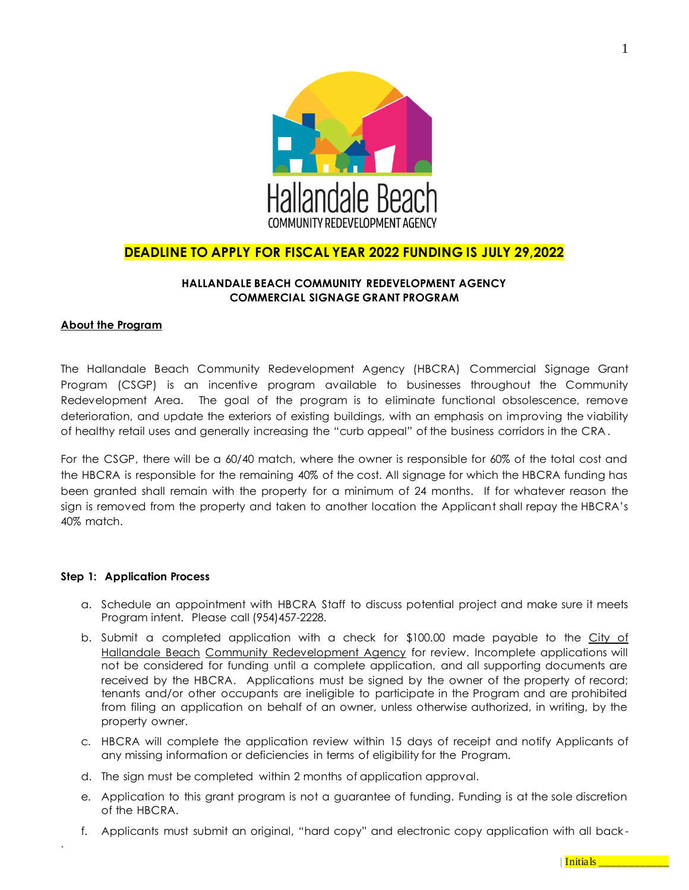

# **DEADLINE TO APPLY FOR FISCAL YEAR 2022 FUNDING IS JULY 29,2022**

## **HALLANDALE BEACH COMMUNITY REDEVELOPMENT AGENCY COMMERCIAL SIGNAGE GRANT PROGRAM**

### **About the Program**

The Hallandale Beach Community Redevelopment Agency (HBCRA) Commercial Signage Grant Program (CSGP) is an incentive program available to businesses throughout the Community Redevelopment Area. The goal of the program is to eliminate functional obsolescence, remove deterioration, and update the exteriors of existing buildings, with an emphasis on improving the viability of healthy retail uses and generally increasing the "curb appeal" of the business corridors in the CRA .

For the CSGP, there will be a 60/40 match, where the owner is responsible for 60% of the total cost and the HBCRA is responsible for the remaining 40% of the cost. All signage for which the HBCRA funding has been granted shall remain with the property for a minimum of 24 months. If for whatever reason the sign is removed from the property and taken to another location the Applicant shall repay the HBCRA's 40% match.

#### **Step 1: Application Process**

.

- a. Schedule an appointment with HBCRA Staff to discuss potential project and make sure it meets Program intent. Please call (954)457-2228.
- b. Submit a completed application with a check for \$100.00 made payable to the City of Hallandale Beach Community Redevelopment Agency for review. Incomplete applications will not be considered for funding until a complete application, and all supporting documents are received by the HBCRA. Applications must be signed by the owner of the property of record; tenants and/or other occupants are ineligible to participate in the Program and are prohibited from filing an application on behalf of an owner, unless otherwise authorized, in writing, by the property owner.
- c. HBCRA will complete the application review within 15 days of receipt and notify Applicants of any missing information or deficiencies in terms of eligibility for the Program.
- d. The sign must be completed within 2 months of application approval.
- e. Application to this grant program is not a guarantee of funding. Funding is at the sole discretion of the HBCRA.
- f. Applicants must submit an original, "hard copy" and electronic copy application with all back -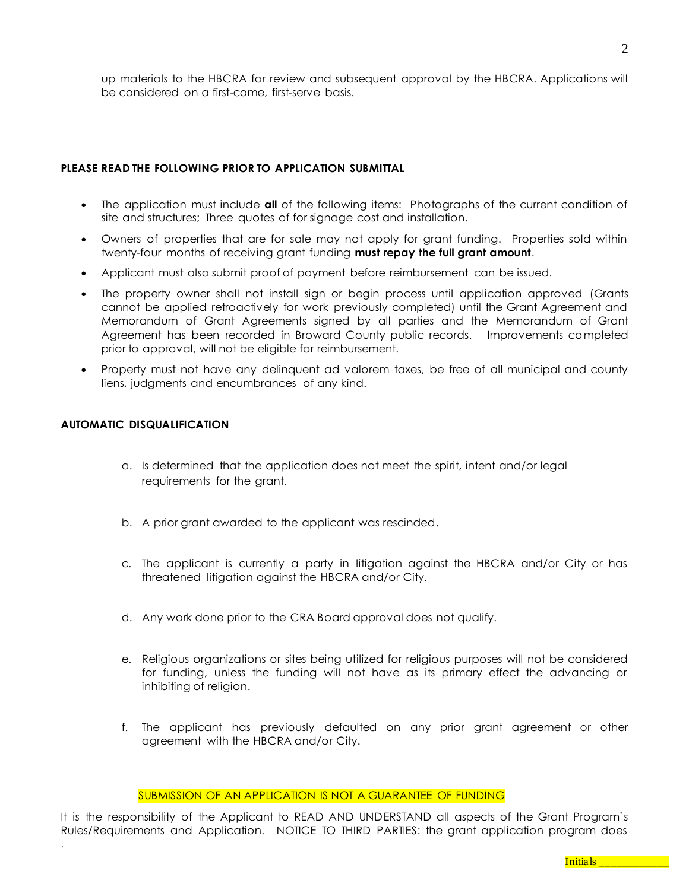up materials to the HBCRA for review and subsequent approval by the HBCRA. Applications will be considered on a first-come, first-serve basis.

## **PLEASE READ THE FOLLOWING PRIOR TO APPLICATION SUBMITTAL**

- The application must include **all** of the following items: Photographs of the current condition of site and structures; Three quotes of for signage cost and installation.
- Owners of properties that are for sale may not apply for grant funding. Properties sold within twenty-four months of receiving grant funding **must repay the full grant amount**.
- Applicant must also submit proof of payment before reimbursement can be issued.
- The property owner shall not install sign or begin process until application approved (Grants cannot be applied retroactively for work previously completed) until the Grant Agreement and Memorandum of Grant Agreements signed by all parties and the Memorandum of Grant Agreement has been recorded in Broward County public records. Improvements completed prior to approval, will not be eligible for reimbursement.
- Property must not have any delinquent ad valorem taxes, be free of all municipal and county liens, judgments and encumbrances of any kind.

## **AUTOMATIC DISQUALIFICATION**

.

- a. Is determined that the application does not meet the spirit, intent and/or legal requirements for the grant.
- b. A prior grant awarded to the applicant was rescinded.
- c. The applicant is currently a party in litigation against the HBCRA and/or City or has threatened litigation against the HBCRA and/or City.
- d. Any work done prior to the CRA Board approval does not qualify.
- e. Religious organizations or sites being utilized for religious purposes will not be considered for funding, unless the funding will not have as its primary effect the advancing or inhibiting of religion.
- f. The applicant has previously defaulted on any prior grant agreement or other agreement with the HBCRA and/or City.

#### SUBMISSION OF AN APPLICATION IS NOT A GUARANTEE OF FUNDING

It is the responsibility of the Applicant to READ AND UNDERSTAND all aspects of the Grant Program`s Rules/Requirements and Application. NOTICE TO THIRD PARTIES: the grant application program does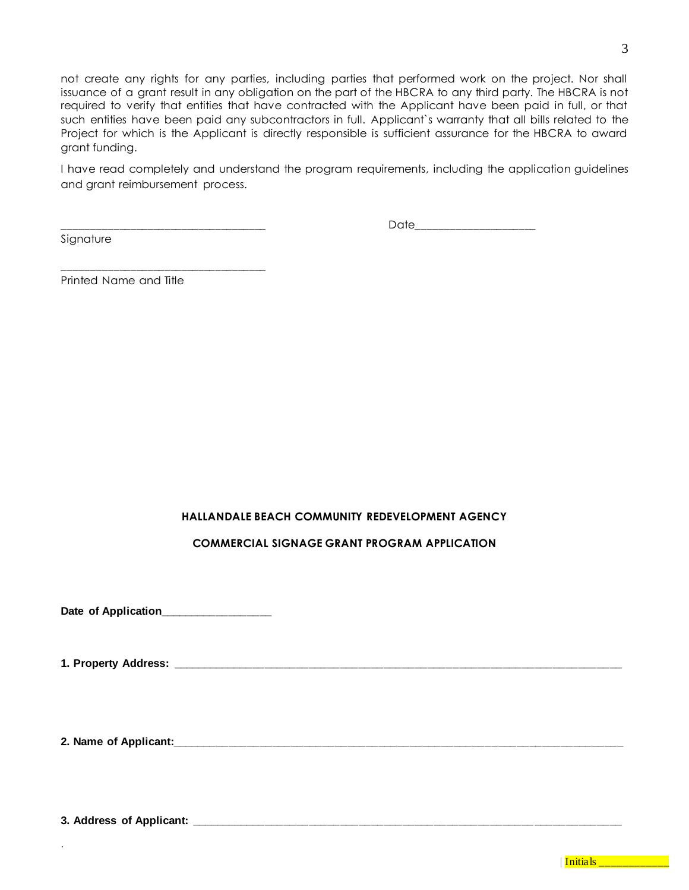not create any rights for any parties, including parties that performed work on the project. Nor shall issuance of a grant result in any obligation on the part of the HBCRA to any third party. The HBCRA is not required to verify that entities that have contracted with the Applicant have been paid in full, or that such entities have been paid any subcontractors in full. Applicant`s warranty that all bills related to the Project for which is the Applicant is directly responsible is sufficient assurance for the HBCRA to award grant funding.

I have read completely and understand the program requirements, including the application guidelines and grant reimbursement process.

Signature

 $\Box$  die  $\Box$  die  $\Box$  die  $\Box$  die  $\Box$  die  $\Box$  die  $\Box$  die  $\Box$  die  $\Box$  die  $\Box$  die  $\Box$  die  $\Box$  die  $\Box$  die  $\Box$  die  $\Box$  die  $\Box$  die  $\Box$  die  $\Box$  die  $\Box$  die  $\Box$  die  $\Box$  die  $\Box$  die  $\Box$  die  $\Box$  die  $\Box$ 

Printed Name and Title

\_\_\_\_\_\_\_\_\_\_\_\_\_\_\_\_\_\_\_\_\_\_\_\_\_\_\_\_\_\_\_\_\_\_\_\_

## **HALLANDALE BEACH COMMUNITY REDEVELOPMENT AGENCY**

## **COMMERCIAL SIGNAGE GRANT PROGRAM APPLICATION**

Date of Application\_\_\_\_\_\_\_\_\_\_\_\_\_\_\_\_

**1. Property Address: \_\_\_\_\_\_\_\_\_\_\_\_\_\_\_\_\_\_\_\_\_\_\_\_\_\_\_\_\_\_\_\_\_\_\_\_\_\_\_\_\_\_\_\_\_\_\_\_\_\_\_\_\_\_\_\_\_\_\_\_\_\_\_\_\_\_\_\_\_\_\_\_**

**2. Name of Applicant:\_\_\_\_\_\_\_\_\_\_\_\_\_\_\_\_\_\_\_\_\_\_\_\_\_\_\_\_\_\_\_\_\_\_\_\_\_\_\_\_\_\_\_\_\_\_\_\_\_\_\_\_\_\_\_\_\_\_\_\_\_\_\_\_\_\_\_\_\_\_\_\_**

**3. Address of Applicant: \_\_\_\_\_\_\_\_\_\_\_\_\_\_\_\_\_\_\_\_\_\_\_\_\_\_\_\_\_\_\_\_\_\_\_\_\_\_\_\_\_\_\_\_\_\_\_\_\_\_\_\_\_\_\_\_\_\_\_\_\_\_\_\_\_\_\_\_\_**

.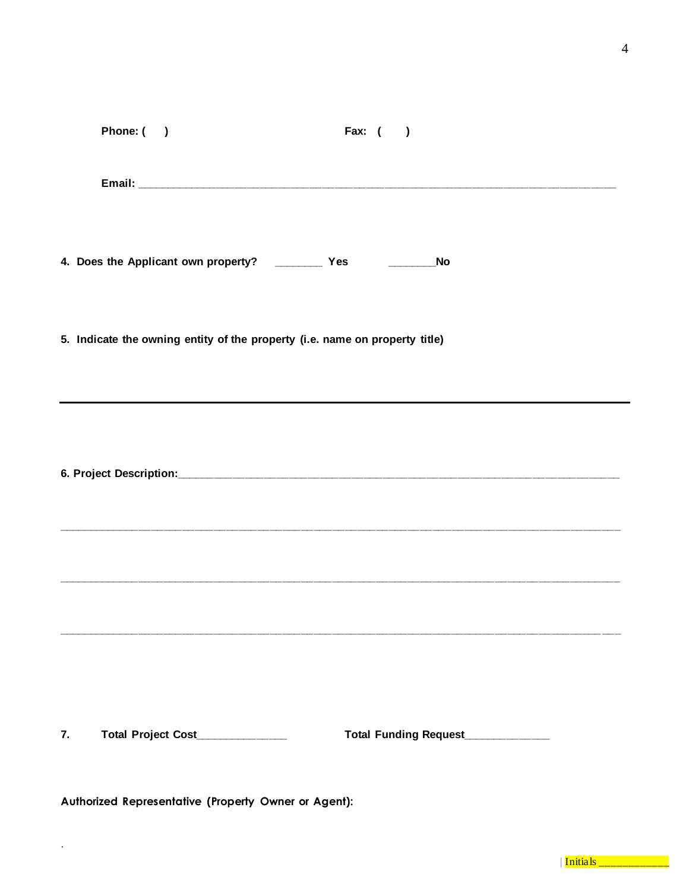| Phone: ()<br>Fax: $($ )                                                                                                          |  |
|----------------------------------------------------------------------------------------------------------------------------------|--|
|                                                                                                                                  |  |
| 4. Does the Applicant own property? ____________ Yes _________________No                                                         |  |
| 5. Indicate the owning entity of the property (i.e. name on property title)                                                      |  |
|                                                                                                                                  |  |
| Total Project Cost____________<br>Total Funding Request___________<br>7.<br>Authorized Representative (Property Owner or Agent): |  |

 $\ddot{\phantom{a}}$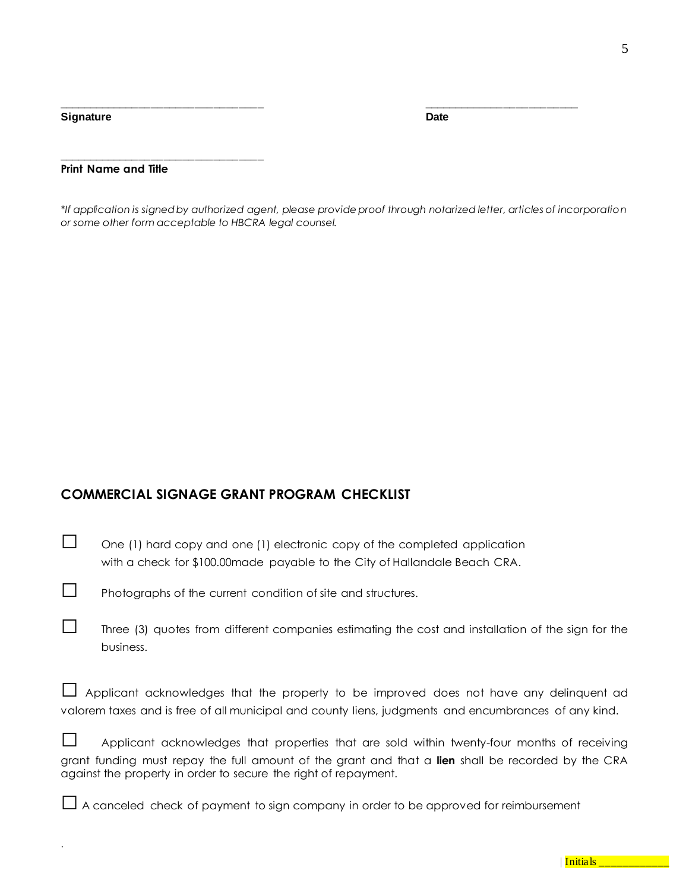**Signature Date** 

.

### **Print Name and Title**

**\_\_\_\_\_\_\_\_\_\_\_\_\_\_\_\_\_\_\_\_\_\_\_\_\_\_\_\_\_\_\_\_\_**

*\*If application is signed by authorized agent, please provide proof through notarized letter, articles of incorporation or some other form acceptable to HBCRA legal counsel.*

**\_\_\_\_\_\_\_\_\_\_\_\_\_\_\_\_\_\_\_\_\_\_\_\_\_\_\_\_\_\_\_\_\_ \_\_\_\_\_\_\_\_\_\_\_\_\_\_\_\_\_\_\_\_\_\_\_\_\_**

## **COMMERCIAL SIGNAGE GRANT PROGRAM CHECKLIST**

| $\Box$ | One (1) hard copy and one (1) electronic copy of the completed application  |
|--------|-----------------------------------------------------------------------------|
|        | with a check for \$100.00 made payable to the City of Hallandale Beach CRA. |

□ Photographs of the current condition of site and structures.

| Three (3) quotes from different companies estimating the cost and installation of the sign for the |
|----------------------------------------------------------------------------------------------------|
| business.                                                                                          |

|  | Applicant acknowledges that the property to be improved does not have any delinquent ad              |  |  |  |  |  |  |
|--|------------------------------------------------------------------------------------------------------|--|--|--|--|--|--|
|  | valorem taxes and is free of all municipal and county liens, judgments and encumbrances of any kind. |  |  |  |  |  |  |

| $\Box$ | Applicant acknowledges that properties that are sold within twenty-four months of receiving        |  |  |  |  |
|--------|----------------------------------------------------------------------------------------------------|--|--|--|--|
|        | grant funding must repay the full amount of the grant and that a lien shall be recorded by the CRA |  |  |  |  |
|        | against the property in order to secure the right of repayment.                                    |  |  |  |  |

 $\Box$  A canceled check of payment to sign company in order to be approved for reimbursement